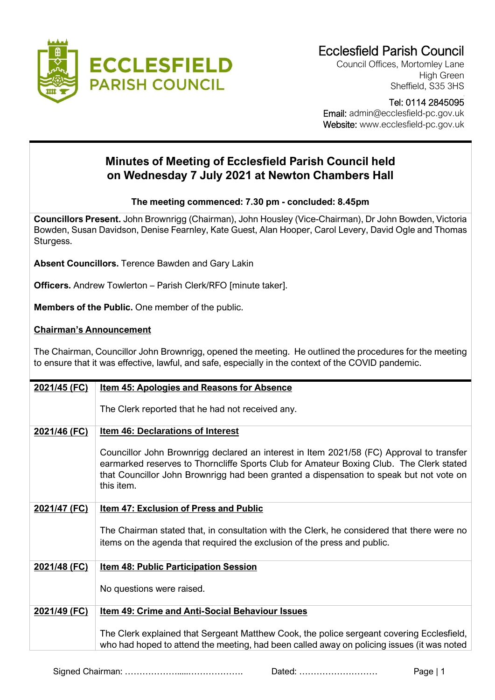

Council Offices, Mortomley Lane High Green Sheffield, S35 3HS

## Tel: 0114 2845095

 Email: admin@ecclesfield-pc.gov.uk Website: www.ecclesfield-pc.gov.uk

## **Minutes of Meeting of Ecclesfield Parish Council held on Wednesday 7 July 2021 at Newton Chambers Hall**

## **The meeting commenced: 7.30 pm - concluded: 8.45pm**

**Councillors Present.** John Brownrigg (Chairman), John Housley (Vice-Chairman), Dr John Bowden, Victoria Bowden, Susan Davidson, Denise Fearnley, Kate Guest, Alan Hooper, Carol Levery, David Ogle and Thomas Sturgess.

**Absent Councillors.** Terence Bawden and Gary Lakin

**Officers.** Andrew Towlerton – Parish Clerk/RFO [minute taker].

**Members of the Public.** One member of the public.

## **Chairman's Announcement**

The Chairman, Councillor John Brownrigg, opened the meeting. He outlined the procedures for the meeting to ensure that it was effective, lawful, and safe, especially in the context of the COVID pandemic.

| 2021/45 (FC) | <b>Item 45: Apologies and Reasons for Absence</b>                                                                                                                                                                                                                                            |
|--------------|----------------------------------------------------------------------------------------------------------------------------------------------------------------------------------------------------------------------------------------------------------------------------------------------|
|              | The Clerk reported that he had not received any.                                                                                                                                                                                                                                             |
| 2021/46 (FC) | <b>Item 46: Declarations of Interest</b>                                                                                                                                                                                                                                                     |
|              | Councillor John Brownrigg declared an interest in Item 2021/58 (FC) Approval to transfer<br>earmarked reserves to Thorncliffe Sports Club for Amateur Boxing Club. The Clerk stated<br>that Councillor John Brownrigg had been granted a dispensation to speak but not vote on<br>this item. |
| 2021/47 (FC) | <b>Item 47: Exclusion of Press and Public</b>                                                                                                                                                                                                                                                |
|              | The Chairman stated that, in consultation with the Clerk, he considered that there were no<br>items on the agenda that required the exclusion of the press and public.                                                                                                                       |
| 2021/48 (FC) | <b>Item 48: Public Participation Session</b>                                                                                                                                                                                                                                                 |
|              | No questions were raised.                                                                                                                                                                                                                                                                    |
| 2021/49 (FC) | Item 49: Crime and Anti-Social Behaviour Issues                                                                                                                                                                                                                                              |
|              | The Clerk explained that Sergeant Matthew Cook, the police sergeant covering Ecclesfield,<br>who had hoped to attend the meeting, had been called away on policing issues (it was noted                                                                                                      |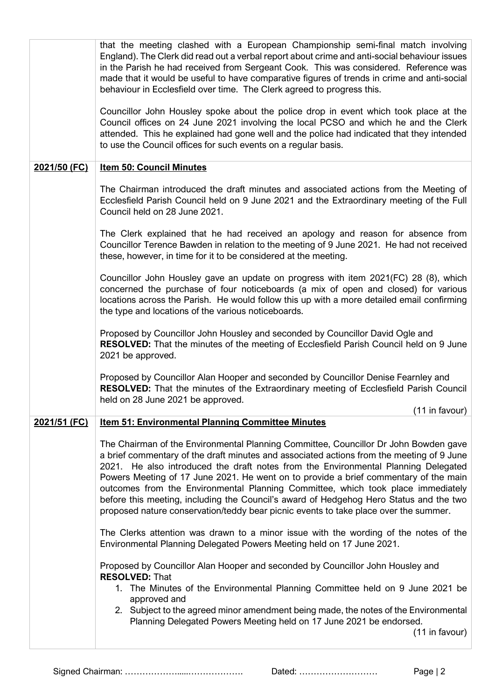|              | that the meeting clashed with a European Championship semi-final match involving<br>England). The Clerk did read out a verbal report about crime and anti-social behaviour issues<br>in the Parish he had received from Sergeant Cook. This was considered. Reference was<br>made that it would be useful to have comparative figures of trends in crime and anti-social<br>behaviour in Ecclesfield over time. The Clerk agreed to progress this.                                                                                                                                                                                    |
|--------------|---------------------------------------------------------------------------------------------------------------------------------------------------------------------------------------------------------------------------------------------------------------------------------------------------------------------------------------------------------------------------------------------------------------------------------------------------------------------------------------------------------------------------------------------------------------------------------------------------------------------------------------|
|              | Councillor John Housley spoke about the police drop in event which took place at the<br>Council offices on 24 June 2021 involving the local PCSO and which he and the Clerk<br>attended. This he explained had gone well and the police had indicated that they intended<br>to use the Council offices for such events on a regular basis.                                                                                                                                                                                                                                                                                            |
| 2021/50 (FC) | <b>Item 50: Council Minutes</b>                                                                                                                                                                                                                                                                                                                                                                                                                                                                                                                                                                                                       |
|              | The Chairman introduced the draft minutes and associated actions from the Meeting of<br>Ecclesfield Parish Council held on 9 June 2021 and the Extraordinary meeting of the Full<br>Council held on 28 June 2021.                                                                                                                                                                                                                                                                                                                                                                                                                     |
|              | The Clerk explained that he had received an apology and reason for absence from<br>Councillor Terence Bawden in relation to the meeting of 9 June 2021. He had not received<br>these, however, in time for it to be considered at the meeting.                                                                                                                                                                                                                                                                                                                                                                                        |
|              | Councillor John Housley gave an update on progress with item 2021(FC) 28 (8), which<br>concerned the purchase of four noticeboards (a mix of open and closed) for various<br>locations across the Parish. He would follow this up with a more detailed email confirming<br>the type and locations of the various noticeboards.                                                                                                                                                                                                                                                                                                        |
|              | Proposed by Councillor John Housley and seconded by Councillor David Ogle and<br>RESOLVED: That the minutes of the meeting of Ecclesfield Parish Council held on 9 June<br>2021 be approved.                                                                                                                                                                                                                                                                                                                                                                                                                                          |
|              | Proposed by Councillor Alan Hooper and seconded by Councillor Denise Fearnley and<br><b>RESOLVED:</b> That the minutes of the Extraordinary meeting of Ecclesfield Parish Council<br>held on 28 June 2021 be approved.<br>(11 in favour)                                                                                                                                                                                                                                                                                                                                                                                              |
| 2021/51 (FC) | <b>Item 51: Environmental Planning Committee Minutes</b>                                                                                                                                                                                                                                                                                                                                                                                                                                                                                                                                                                              |
|              | The Chairman of the Environmental Planning Committee, Councillor Dr John Bowden gave<br>a brief commentary of the draft minutes and associated actions from the meeting of 9 June<br>2021. He also introduced the draft notes from the Environmental Planning Delegated<br>Powers Meeting of 17 June 2021. He went on to provide a brief commentary of the main<br>outcomes from the Environmental Planning Committee, which took place immediately<br>before this meeting, including the Council's award of Hedgehog Hero Status and the two<br>proposed nature conservation/teddy bear picnic events to take place over the summer. |
|              | The Clerks attention was drawn to a minor issue with the wording of the notes of the<br>Environmental Planning Delegated Powers Meeting held on 17 June 2021.                                                                                                                                                                                                                                                                                                                                                                                                                                                                         |
|              | Proposed by Councillor Alan Hooper and seconded by Councillor John Housley and<br><b>RESOLVED: That</b><br>1. The Minutes of the Environmental Planning Committee held on 9 June 2021 be<br>approved and<br>2. Subject to the agreed minor amendment being made, the notes of the Environmental<br>Planning Delegated Powers Meeting held on 17 June 2021 be endorsed.<br>(11 in favour)                                                                                                                                                                                                                                              |
|              |                                                                                                                                                                                                                                                                                                                                                                                                                                                                                                                                                                                                                                       |

Signed Chairman: ……………….....………………. Dated: ……………………… Page | 2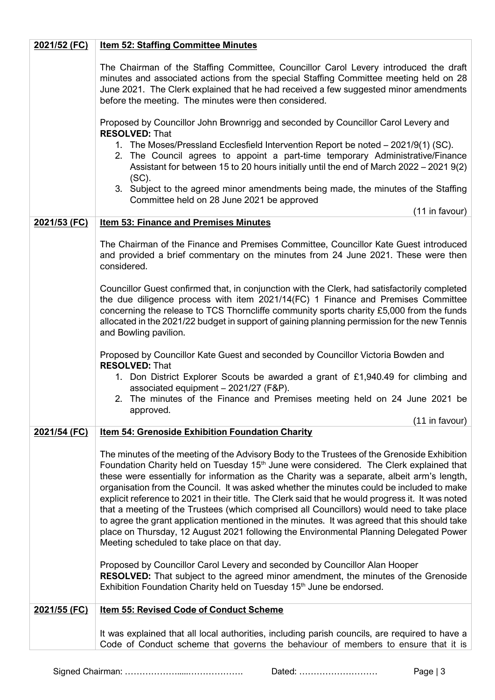| 2021/52 (FC) | <b>Item 52: Staffing Committee Minutes</b>                                                                                                                                                                                                                                                                                                                                                                                                                                                                                                                                                                                                                                                                                                                                                                                               |
|--------------|------------------------------------------------------------------------------------------------------------------------------------------------------------------------------------------------------------------------------------------------------------------------------------------------------------------------------------------------------------------------------------------------------------------------------------------------------------------------------------------------------------------------------------------------------------------------------------------------------------------------------------------------------------------------------------------------------------------------------------------------------------------------------------------------------------------------------------------|
|              | The Chairman of the Staffing Committee, Councillor Carol Levery introduced the draft<br>minutes and associated actions from the special Staffing Committee meeting held on 28<br>June 2021. The Clerk explained that he had received a few suggested minor amendments<br>before the meeting. The minutes were then considered.                                                                                                                                                                                                                                                                                                                                                                                                                                                                                                           |
|              | Proposed by Councillor John Brownrigg and seconded by Councillor Carol Levery and<br><b>RESOLVED: That</b>                                                                                                                                                                                                                                                                                                                                                                                                                                                                                                                                                                                                                                                                                                                               |
|              | 1. The Moses/Pressland Ecclesfield Intervention Report be noted – 2021/9(1) (SC).<br>2. The Council agrees to appoint a part-time temporary Administrative/Finance<br>Assistant for between 15 to 20 hours initially until the end of March 2022 - 2021 9(2)<br>$(SC)$ .                                                                                                                                                                                                                                                                                                                                                                                                                                                                                                                                                                 |
|              | 3. Subject to the agreed minor amendments being made, the minutes of the Staffing<br>Committee held on 28 June 2021 be approved<br>(11 in favour)                                                                                                                                                                                                                                                                                                                                                                                                                                                                                                                                                                                                                                                                                        |
| 2021/53 (FC) | <b>Item 53: Finance and Premises Minutes</b>                                                                                                                                                                                                                                                                                                                                                                                                                                                                                                                                                                                                                                                                                                                                                                                             |
|              | The Chairman of the Finance and Premises Committee, Councillor Kate Guest introduced<br>and provided a brief commentary on the minutes from 24 June 2021. These were then<br>considered.                                                                                                                                                                                                                                                                                                                                                                                                                                                                                                                                                                                                                                                 |
|              | Councillor Guest confirmed that, in conjunction with the Clerk, had satisfactorily completed<br>the due diligence process with item 2021/14(FC) 1 Finance and Premises Committee<br>concerning the release to TCS Thorncliffe community sports charity £5,000 from the funds<br>allocated in the 2021/22 budget in support of gaining planning permission for the new Tennis<br>and Bowling pavilion.                                                                                                                                                                                                                                                                                                                                                                                                                                    |
|              | Proposed by Councillor Kate Guest and seconded by Councillor Victoria Bowden and<br><b>RESOLVED: That</b>                                                                                                                                                                                                                                                                                                                                                                                                                                                                                                                                                                                                                                                                                                                                |
|              | 1. Don District Explorer Scouts be awarded a grant of £1,940.49 for climbing and<br>associated equipment - 2021/27 (F&P).<br>2. The minutes of the Finance and Premises meeting held on 24 June 2021 be                                                                                                                                                                                                                                                                                                                                                                                                                                                                                                                                                                                                                                  |
|              | approved.                                                                                                                                                                                                                                                                                                                                                                                                                                                                                                                                                                                                                                                                                                                                                                                                                                |
| 2021/54 (FC) | (11 in favour)<br><b>Item 54: Grenoside Exhibition Foundation Charity</b>                                                                                                                                                                                                                                                                                                                                                                                                                                                                                                                                                                                                                                                                                                                                                                |
|              |                                                                                                                                                                                                                                                                                                                                                                                                                                                                                                                                                                                                                                                                                                                                                                                                                                          |
|              | The minutes of the meeting of the Advisory Body to the Trustees of the Grenoside Exhibition<br>Foundation Charity held on Tuesday 15 <sup>th</sup> June were considered. The Clerk explained that<br>these were essentially for information as the Charity was a separate, albeit arm's length,<br>organisation from the Council. It was asked whether the minutes could be included to make<br>explicit reference to 2021 in their title. The Clerk said that he would progress it. It was noted<br>that a meeting of the Trustees (which comprised all Councillors) would need to take place<br>to agree the grant application mentioned in the minutes. It was agreed that this should take<br>place on Thursday, 12 August 2021 following the Environmental Planning Delegated Power<br>Meeting scheduled to take place on that day. |
|              | Proposed by Councillor Carol Levery and seconded by Councillor Alan Hooper<br><b>RESOLVED:</b> That subject to the agreed minor amendment, the minutes of the Grenoside<br>Exhibition Foundation Charity held on Tuesday 15 <sup>th</sup> June be endorsed.                                                                                                                                                                                                                                                                                                                                                                                                                                                                                                                                                                              |
| 2021/55 (FC) | <b>Item 55: Revised Code of Conduct Scheme</b>                                                                                                                                                                                                                                                                                                                                                                                                                                                                                                                                                                                                                                                                                                                                                                                           |
|              | It was explained that all local authorities, including parish councils, are required to have a<br>Code of Conduct scheme that governs the behaviour of members to ensure that it is                                                                                                                                                                                                                                                                                                                                                                                                                                                                                                                                                                                                                                                      |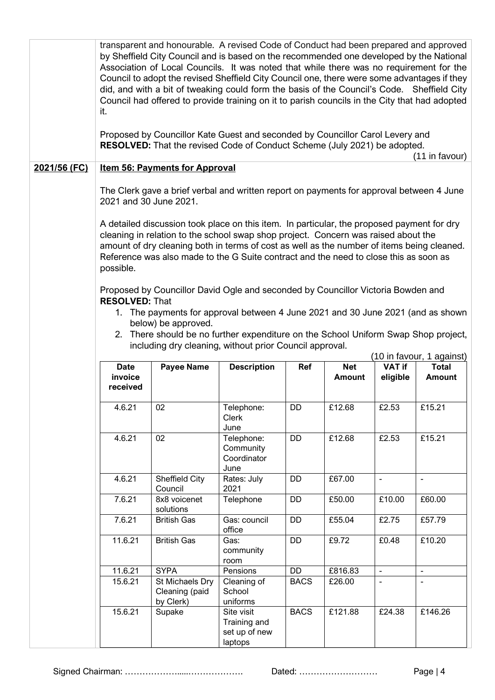|              | transparent and honourable. A revised Code of Conduct had been prepared and approved<br>by Sheffield City Council and is based on the recommended one developed by the National<br>Association of Local Councils. It was noted that while there was no requirement for the<br>Council to adopt the revised Sheffield City Council one, there were some advantages if they<br>did, and with a bit of tweaking could form the basis of the Council's Code. Sheffield City<br>Council had offered to provide training on it to parish councils in the City that had adopted<br>it.<br>Proposed by Councillor Kate Guest and seconded by Councillor Carol Levery and<br>RESOLVED: That the revised Code of Conduct Scheme (July 2021) be adopted.<br>(11 in favour) |                                                                                                                                                                                                                                                                                                                                                                            |                                                        |             |               |                          |                                           |  |  |
|--------------|-----------------------------------------------------------------------------------------------------------------------------------------------------------------------------------------------------------------------------------------------------------------------------------------------------------------------------------------------------------------------------------------------------------------------------------------------------------------------------------------------------------------------------------------------------------------------------------------------------------------------------------------------------------------------------------------------------------------------------------------------------------------|----------------------------------------------------------------------------------------------------------------------------------------------------------------------------------------------------------------------------------------------------------------------------------------------------------------------------------------------------------------------------|--------------------------------------------------------|-------------|---------------|--------------------------|-------------------------------------------|--|--|
| 2021/56 (FC) |                                                                                                                                                                                                                                                                                                                                                                                                                                                                                                                                                                                                                                                                                                                                                                 | <b>Item 56: Payments for Approval</b>                                                                                                                                                                                                                                                                                                                                      |                                                        |             |               |                          |                                           |  |  |
|              | 2021 and 30 June 2021.                                                                                                                                                                                                                                                                                                                                                                                                                                                                                                                                                                                                                                                                                                                                          | The Clerk gave a brief verbal and written report on payments for approval between 4 June<br>A detailed discussion took place on this item. In particular, the proposed payment for dry<br>cleaning in relation to the school swap shop project. Concern was raised about the<br>amount of dry cleaning both in terms of cost as well as the number of items being cleaned. |                                                        |             |               |                          |                                           |  |  |
|              | possible.                                                                                                                                                                                                                                                                                                                                                                                                                                                                                                                                                                                                                                                                                                                                                       | Reference was also made to the G Suite contract and the need to close this as soon as                                                                                                                                                                                                                                                                                      |                                                        |             |               |                          |                                           |  |  |
|              |                                                                                                                                                                                                                                                                                                                                                                                                                                                                                                                                                                                                                                                                                                                                                                 |                                                                                                                                                                                                                                                                                                                                                                            |                                                        |             |               |                          |                                           |  |  |
|              |                                                                                                                                                                                                                                                                                                                                                                                                                                                                                                                                                                                                                                                                                                                                                                 | Proposed by Councillor David Ogle and seconded by Councillor Victoria Bowden and                                                                                                                                                                                                                                                                                           |                                                        |             |               |                          |                                           |  |  |
|              | <b>RESOLVED: That</b>                                                                                                                                                                                                                                                                                                                                                                                                                                                                                                                                                                                                                                                                                                                                           |                                                                                                                                                                                                                                                                                                                                                                            |                                                        |             |               |                          |                                           |  |  |
|              |                                                                                                                                                                                                                                                                                                                                                                                                                                                                                                                                                                                                                                                                                                                                                                 | 1. The payments for approval between 4 June 2021 and 30 June 2021 (and as shown<br>below) be approved.                                                                                                                                                                                                                                                                     |                                                        |             |               |                          |                                           |  |  |
|              |                                                                                                                                                                                                                                                                                                                                                                                                                                                                                                                                                                                                                                                                                                                                                                 | 2. There should be no further expenditure on the School Uniform Swap Shop project,                                                                                                                                                                                                                                                                                         |                                                        |             |               |                          |                                           |  |  |
|              |                                                                                                                                                                                                                                                                                                                                                                                                                                                                                                                                                                                                                                                                                                                                                                 | including dry cleaning, without prior Council approval.                                                                                                                                                                                                                                                                                                                    |                                                        |             |               |                          |                                           |  |  |
|              | <b>Date</b>                                                                                                                                                                                                                                                                                                                                                                                                                                                                                                                                                                                                                                                                                                                                                     | <b>Payee Name</b>                                                                                                                                                                                                                                                                                                                                                          | <b>Description</b>                                     | Ref         | <b>Net</b>    | <b>VAT if</b>            | (10 in favour, 1 against)<br><b>Total</b> |  |  |
|              | invoice<br>received                                                                                                                                                                                                                                                                                                                                                                                                                                                                                                                                                                                                                                                                                                                                             |                                                                                                                                                                                                                                                                                                                                                                            |                                                        |             | <b>Amount</b> | eligible                 | <b>Amount</b>                             |  |  |
|              | 4.6.21                                                                                                                                                                                                                                                                                                                                                                                                                                                                                                                                                                                                                                                                                                                                                          | 02                                                                                                                                                                                                                                                                                                                                                                         | Telephone:<br>Clerk<br>June                            | DD          | £12.68        | £2.53                    | £15.21                                    |  |  |
|              | 4.6.21                                                                                                                                                                                                                                                                                                                                                                                                                                                                                                                                                                                                                                                                                                                                                          | 02                                                                                                                                                                                                                                                                                                                                                                         | Telephone:<br>Community<br>Coordinator<br>June         | DD          | £12.68        | £2.53                    | £15.21                                    |  |  |
|              | 4.6.21                                                                                                                                                                                                                                                                                                                                                                                                                                                                                                                                                                                                                                                                                                                                                          | Sheffield City<br>Council                                                                                                                                                                                                                                                                                                                                                  | Rates: July<br>2021                                    | DD          | £67.00        | $\mathbf{r}$             | $\blacksquare$                            |  |  |
|              | 7.6.21                                                                                                                                                                                                                                                                                                                                                                                                                                                                                                                                                                                                                                                                                                                                                          | 8x8 voicenet<br>solutions                                                                                                                                                                                                                                                                                                                                                  | Telephone                                              | DD          | £50.00        | £10.00                   | £60.00                                    |  |  |
|              | 7.6.21                                                                                                                                                                                                                                                                                                                                                                                                                                                                                                                                                                                                                                                                                                                                                          | <b>British Gas</b>                                                                                                                                                                                                                                                                                                                                                         | Gas: council<br>office                                 | DD          | £55.04        | £2.75                    | £57.79                                    |  |  |
|              | 11.6.21                                                                                                                                                                                                                                                                                                                                                                                                                                                                                                                                                                                                                                                                                                                                                         | <b>British Gas</b>                                                                                                                                                                                                                                                                                                                                                         | Gas:<br>community<br>room                              | DD          | £9.72         | £0.48                    | £10.20                                    |  |  |
|              | 11.6.21                                                                                                                                                                                                                                                                                                                                                                                                                                                                                                                                                                                                                                                                                                                                                         | <b>SYPA</b>                                                                                                                                                                                                                                                                                                                                                                | Pensions                                               | DD          | £816.83       | $\overline{\phantom{a}}$ | $\blacksquare$                            |  |  |
|              | 15.6.21                                                                                                                                                                                                                                                                                                                                                                                                                                                                                                                                                                                                                                                                                                                                                         | St Michaels Dry<br>Cleaning (paid<br>by Clerk)                                                                                                                                                                                                                                                                                                                             | Cleaning of<br>School<br>uniforms                      | <b>BACS</b> | £26.00        |                          | $\blacksquare$                            |  |  |
|              | 15.6.21                                                                                                                                                                                                                                                                                                                                                                                                                                                                                                                                                                                                                                                                                                                                                         | Supake                                                                                                                                                                                                                                                                                                                                                                     | Site visit<br>Training and<br>set up of new<br>laptops | <b>BACS</b> | £121.88       | £24.38                   | £146.26                                   |  |  |

Signed Chairman: ……………….....………………. Dated: ……………………… Page | 4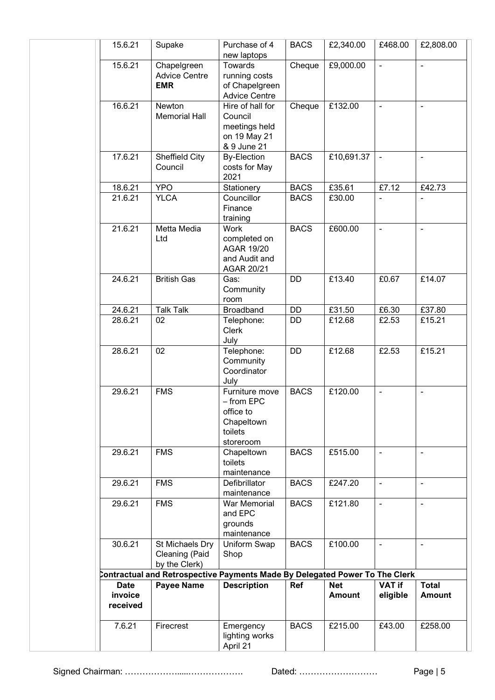| 15.6.21                            | Supake                                             | Purchase of 4<br>new laptops                                                    | <b>BACS</b> | £2,340.00                   | £468.00                      | £2,808.00                     |
|------------------------------------|----------------------------------------------------|---------------------------------------------------------------------------------|-------------|-----------------------------|------------------------------|-------------------------------|
| 15.6.21                            | Chapelgreen<br><b>Advice Centre</b><br><b>EMR</b>  | Towards<br>running costs<br>of Chapelgreen<br><b>Advice Centre</b>              | Cheque      | £9,000.00                   | $\blacksquare$               | $\blacksquare$                |
| 16.6.21                            | Newton<br><b>Memorial Hall</b>                     | Hire of hall for<br>Council<br>meetings held<br>on 19 May 21<br>& 9 June 21     | Cheque      | £132.00                     | $\frac{1}{2}$                | $\blacksquare$                |
| 17.6.21                            | Sheffield City<br>Council                          | <b>By-Election</b><br>costs for May<br>2021                                     | <b>BACS</b> | £10,691.37                  | $\blacksquare$               | $\overline{\phantom{a}}$      |
| 18.6.21                            | <b>YPO</b>                                         | Stationery                                                                      | <b>BACS</b> | £35.61                      | £7.12                        | £42.73                        |
| 21.6.21                            | <b>YLCA</b>                                        | Councillor<br>Finance<br>training                                               | <b>BACS</b> | £30.00                      |                              |                               |
| 21.6.21                            | Metta Media<br>Ltd                                 | Work<br>completed on<br><b>AGAR 19/20</b><br>and Audit and<br>AGAR 20/21        | <b>BACS</b> | £600.00                     | $\frac{1}{2}$                | $\blacksquare$                |
| 24.6.21                            | <b>British Gas</b>                                 | Gas:<br>Community<br>room                                                       | DD          | £13.40                      | £0.67                        | £14.07                        |
| 24.6.21                            | <b>Talk Talk</b>                                   | Broadband                                                                       | DD          | £31.50                      | £6.30                        | £37.80                        |
| 28.6.21                            | 02                                                 | Telephone:<br><b>Clerk</b><br>July                                              | <b>DD</b>   | £12.68                      | £2.53                        | £15.21                        |
| 28.6.21                            | 02                                                 | Telephone:<br>Community<br>Coordinator<br>July                                  | <b>DD</b>   | £12.68                      | £2.53                        | £15.21                        |
| 29.6.21                            | <b>FMS</b>                                         | Furniture move<br>- from EPC<br>office to<br>Chapeltown<br>toilets<br>storeroom | <b>BACS</b> | £120.00                     | ÷,                           | $\overline{\phantom{a}}$      |
| 29.6.21                            | <b>FMS</b>                                         | Chapeltown<br>toilets<br>maintenance                                            | <b>BACS</b> | £515.00                     | $\blacksquare$               | $\blacksquare$                |
| 29.6.21                            | <b>FMS</b>                                         | Defibrillator<br>maintenance                                                    | <b>BACS</b> | £247.20                     | $\qquad \qquad \blacksquare$ | $\overline{\phantom{a}}$      |
| 29.6.21                            | <b>FMS</b>                                         | War Memorial<br>and EPC<br>grounds<br>maintenance                               | <b>BACS</b> | £121.80                     | $\blacksquare$               | $\blacksquare$                |
| 30.6.21                            | St Michaels Dry<br>Cleaning (Paid<br>by the Clerk) | Uniform Swap<br>Shop                                                            | <b>BACS</b> | £100.00                     | $\blacksquare$               | $\overline{\phantom{a}}$      |
|                                    |                                                    | Contractual and Retrospective Payments Made By Delegated Power To The Clerk     |             |                             |                              |                               |
| <b>Date</b><br>invoice<br>received | <b>Payee Name</b>                                  | <b>Description</b>                                                              | Ref         | <b>Net</b><br><b>Amount</b> | <b>VAT if</b><br>eligible    | <b>Total</b><br><b>Amount</b> |
| 7.6.21                             | Firecrest                                          | Emergency<br>lighting works<br>April 21                                         | <b>BACS</b> | £215.00                     | £43.00                       | £258.00                       |

Signed Chairman: ……………….....………………. Dated: ……………………… Page | 5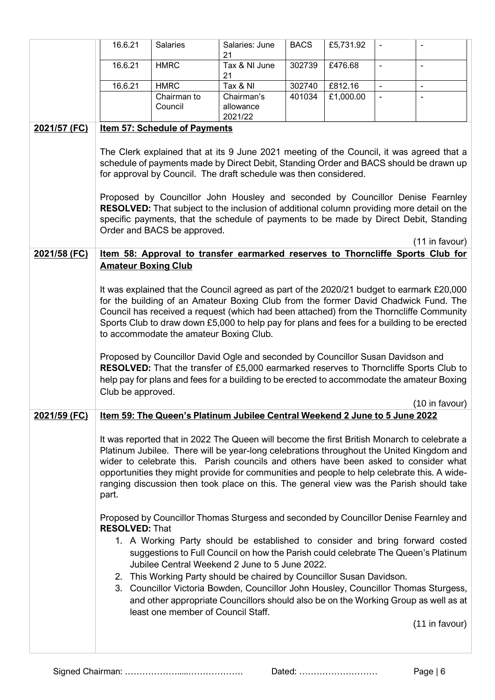|                     | 16.6.21                                                                                                                                                                                                                                                                                                                                                                                                               | Salaries                                                                                                                                                                                                                                                                                                                                                                                                                                                                                                           | Salaries: June<br>21    | <b>BACS</b> | £5,731.92 | $\overline{\phantom{a}}$ | $\overline{\phantom{a}}$ |
|---------------------|-----------------------------------------------------------------------------------------------------------------------------------------------------------------------------------------------------------------------------------------------------------------------------------------------------------------------------------------------------------------------------------------------------------------------|--------------------------------------------------------------------------------------------------------------------------------------------------------------------------------------------------------------------------------------------------------------------------------------------------------------------------------------------------------------------------------------------------------------------------------------------------------------------------------------------------------------------|-------------------------|-------------|-----------|--------------------------|--------------------------|
|                     | 16.6.21                                                                                                                                                                                                                                                                                                                                                                                                               | <b>HMRC</b>                                                                                                                                                                                                                                                                                                                                                                                                                                                                                                        | Tax & NI June<br>21     | 302739      | £476.68   | $\overline{\phantom{a}}$ | $\overline{\phantom{a}}$ |
|                     | 16.6.21                                                                                                                                                                                                                                                                                                                                                                                                               | <b>HMRC</b>                                                                                                                                                                                                                                                                                                                                                                                                                                                                                                        | Tax & NI                | 302740      | £812.16   | $\blacksquare$           | $\blacksquare$           |
|                     |                                                                                                                                                                                                                                                                                                                                                                                                                       | Chairman to<br>Council                                                                                                                                                                                                                                                                                                                                                                                                                                                                                             | Chairman's<br>allowance | 401034      | £1,000.00 | $\blacksquare$           |                          |
|                     |                                                                                                                                                                                                                                                                                                                                                                                                                       |                                                                                                                                                                                                                                                                                                                                                                                                                                                                                                                    | 2021/22                 |             |           |                          |                          |
| 2021/57 (FC)        |                                                                                                                                                                                                                                                                                                                                                                                                                       | <b>Item 57: Schedule of Payments</b><br>The Clerk explained that at its 9 June 2021 meeting of the Council, it was agreed that a                                                                                                                                                                                                                                                                                                                                                                                   |                         |             |           |                          |                          |
|                     |                                                                                                                                                                                                                                                                                                                                                                                                                       | schedule of payments made by Direct Debit, Standing Order and BACS should be drawn up<br>for approval by Council. The draft schedule was then considered.                                                                                                                                                                                                                                                                                                                                                          |                         |             |           |                          |                          |
|                     |                                                                                                                                                                                                                                                                                                                                                                                                                       | Proposed by Councillor John Housley and seconded by Councillor Denise Fearnley<br>RESOLVED: That subject to the inclusion of additional column providing more detail on the<br>specific payments, that the schedule of payments to be made by Direct Debit, Standing<br>Order and BACS be approved.                                                                                                                                                                                                                |                         |             |           |                          |                          |
|                     |                                                                                                                                                                                                                                                                                                                                                                                                                       |                                                                                                                                                                                                                                                                                                                                                                                                                                                                                                                    |                         |             |           |                          | (11 in favour)           |
| 2021/58 (FC)        | <b>Amateur Boxing Club</b>                                                                                                                                                                                                                                                                                                                                                                                            | Item 58: Approval to transfer earmarked reserves to Thorncliffe Sports Club for                                                                                                                                                                                                                                                                                                                                                                                                                                    |                         |             |           |                          |                          |
|                     | It was explained that the Council agreed as part of the 2020/21 budget to earmark £20,000<br>for the building of an Amateur Boxing Club from the former David Chadwick Fund. The<br>Council has received a request (which had been attached) from the Thorncliffe Community<br>Sports Club to draw down £5,000 to help pay for plans and fees for a building to be erected<br>to accommodate the amateur Boxing Club. |                                                                                                                                                                                                                                                                                                                                                                                                                                                                                                                    |                         |             |           |                          |                          |
|                     | Club be approved.                                                                                                                                                                                                                                                                                                                                                                                                     | Proposed by Councillor David Ogle and seconded by Councillor Susan Davidson and<br>RESOLVED: That the transfer of £5,000 earmarked reserves to Thorncliffe Sports Club to<br>help pay for plans and fees for a building to be erected to accommodate the amateur Boxing                                                                                                                                                                                                                                            |                         |             |           |                          | (10 in favour)           |
| <u>2021/59 (FC)</u> |                                                                                                                                                                                                                                                                                                                                                                                                                       | Item 59: The Queen's Platinum Jubilee Central Weekend 2 June to 5 June 2022                                                                                                                                                                                                                                                                                                                                                                                                                                        |                         |             |           |                          |                          |
|                     | part.                                                                                                                                                                                                                                                                                                                                                                                                                 | It was reported that in 2022 The Queen will become the first British Monarch to celebrate a<br>Platinum Jubilee. There will be year-long celebrations throughout the United Kingdom and<br>wider to celebrate this. Parish councils and others have been asked to consider what<br>opportunities they might provide for communities and people to help celebrate this. A wide-<br>ranging discussion then took place on this. The general view was the Parish should take                                          |                         |             |           |                          |                          |
|                     | <b>RESOLVED: That</b>                                                                                                                                                                                                                                                                                                                                                                                                 | Proposed by Councillor Thomas Sturgess and seconded by Councillor Denise Fearnley and                                                                                                                                                                                                                                                                                                                                                                                                                              |                         |             |           |                          |                          |
|                     |                                                                                                                                                                                                                                                                                                                                                                                                                       | 1. A Working Party should be established to consider and bring forward costed<br>suggestions to Full Council on how the Parish could celebrate The Queen's Platinum<br>Jubilee Central Weekend 2 June to 5 June 2022.<br>2. This Working Party should be chaired by Councillor Susan Davidson.<br>3. Councillor Victoria Bowden, Councillor John Housley, Councillor Thomas Sturgess,<br>and other appropriate Councillors should also be on the Working Group as well as at<br>least one member of Council Staff. |                         |             |           |                          |                          |
|                     |                                                                                                                                                                                                                                                                                                                                                                                                                       |                                                                                                                                                                                                                                                                                                                                                                                                                                                                                                                    |                         |             |           |                          | (11 in favour)           |